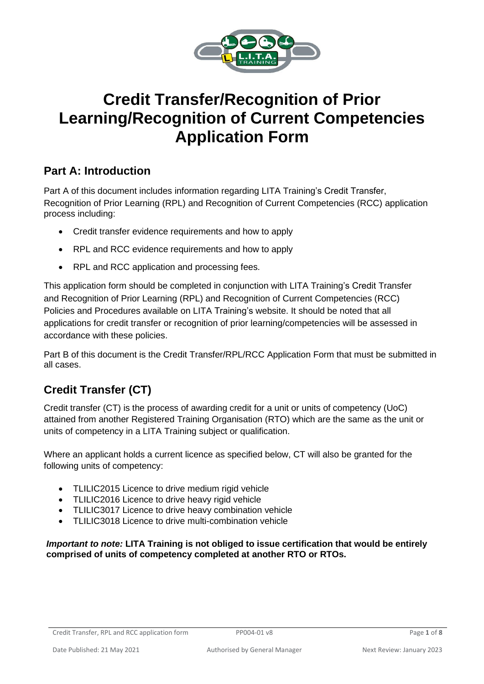

# **Credit Transfer/Recognition of Prior Learning/Recognition of Current Competencies Application Form**

## **Part A: Introduction**

Part A of this document includes information regarding LITA Training's Credit Transfer, Recognition of Prior Learning (RPL) and Recognition of Current Competencies (RCC) application process including:

- Credit transfer evidence requirements and how to apply
- RPL and RCC evidence requirements and how to apply
- RPL and RCC application and processing fees.

This application form should be completed in conjunction with LITA Training's Credit Transfer and Recognition of Prior Learning (RPL) and Recognition of Current Competencies (RCC) Policies and Procedures available on LITA Training's website. It should be noted that all applications for credit transfer or recognition of prior learning/competencies will be assessed in accordance with these policies.

Part B of this document is the Credit Transfer/RPL/RCC Application Form that must be submitted in all cases.

## **Credit Transfer (CT)**

Credit transfer (CT) is the process of awarding credit for a unit or units of competency (UoC) attained from another Registered Training Organisation (RTO) which are the same as the unit or units of competency in a LITA Training subject or qualification.

Where an applicant holds a current licence as specified below, CT will also be granted for the following units of competency:

- TLILIC2015 Licence to drive medium rigid vehicle
- TLILIC2016 Licence to drive heavy rigid vehicle
- TLILIC3017 Licence to drive heavy combination vehicle
- TLILIC3018 Licence to drive multi-combination vehicle

*Important to note:* **LITA Training is not obliged to issue certification that would be entirely comprised of units of competency completed at another RTO or RTOs.**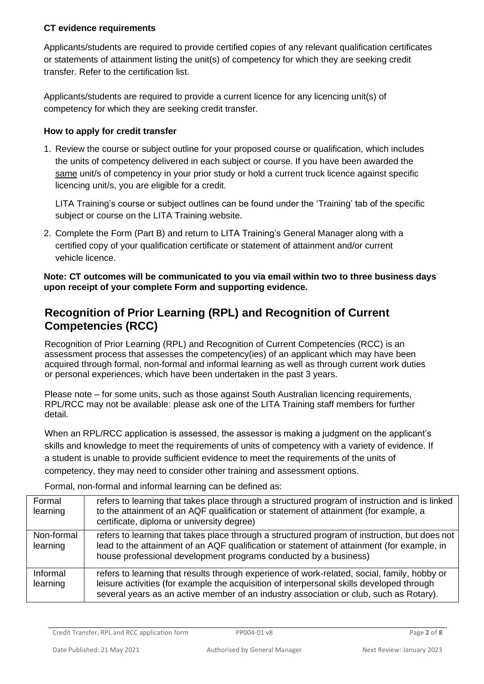#### **CT evidence requirements**

Applicants/students are required to provide certified copies of any relevant qualification certificates or statements of attainment listing the unit(s) of competency for which they are seeking credit transfer. Refer to the certification list.

Applicants/students are required to provide a current licence for any licencing unit(s) of competency for which they are seeking credit transfer.

#### **How to apply for credit transfer**

1. Review the course or subject outline for your proposed course or qualification, which includes the units of competency delivered in each subject or course. If you have been awarded the same unit/s of competency in your prior study or hold a current truck licence against specific licencing unit/s, you are eligible for a credit.

LITA Training's course or subject outlines can be found under the 'Training' tab of the specific subject or course on the LITA Training website.

2. Complete the Form (Part B) and return to [LITA Training's General Manager](mailto:rpl@kaplan.edu.au) along with a certified copy of your qualification certificate or statement of attainment and/or current vehicle licence.

**Note: CT outcomes will be communicated to you via email within two to three business days upon receipt of your complete Form and supporting evidence.**

## **Recognition of Prior Learning (RPL) and Recognition of Current Competencies (RCC)**

Recognition of Prior Learning (RPL) and Recognition of Current Competencies (RCC) is an assessment process that assesses the competency(ies) of an applicant which may have been acquired through formal, non-formal and informal learning as well as through current work duties or personal experiences, which have been undertaken in the past 3 years.

Please note – for some units, such as those against South Australian licencing requirements, RPL/RCC may not be available: please ask one of the LITA Training staff members for further detail.

When an RPL/RCC application is assessed, the assessor is making a judgment on the applicant's skills and knowledge to meet the requirements of units of competency with a variety of evidence. If a student is unable to provide sufficient evidence to meet the requirements of the units of competency, they may need to consider other training and assessment options.

Formal, non-formal and informal learning can be defined as:

| Formal<br>learning     | refers to learning that takes place through a structured program of instruction and is linked<br>to the attainment of an AQF qualification or statement of attainment (for example, a<br>certificate, diploma or university degree)                                                 |
|------------------------|-------------------------------------------------------------------------------------------------------------------------------------------------------------------------------------------------------------------------------------------------------------------------------------|
| Non-formal<br>learning | refers to learning that takes place through a structured program of instruction, but does not<br>lead to the attainment of an AQF qualification or statement of attainment (for example, in<br>house professional development programs conducted by a business)                     |
| Informal<br>learning   | refers to learning that results through experience of work-related, social, family, hobby or<br>leisure activities (for example the acquisition of interpersonal skills developed through<br>several years as an active member of an industry association or club, such as Rotary). |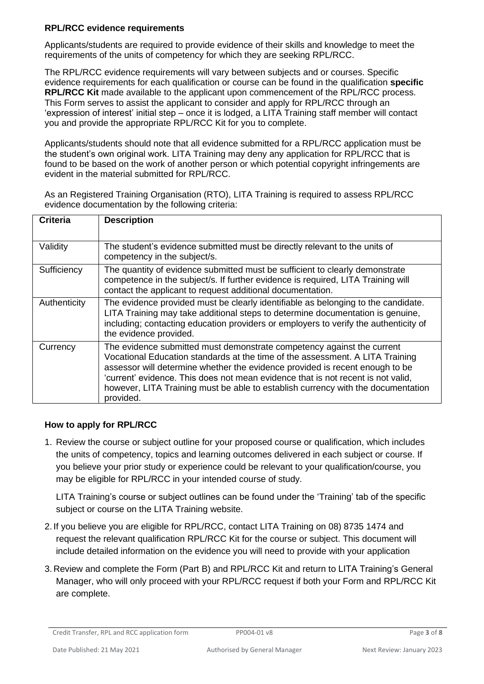#### **RPL/RCC evidence requirements**

Applicants/students are required to provide evidence of their skills and knowledge to meet the requirements of the units of competency for which they are seeking RPL/RCC.

The RPL/RCC evidence requirements will vary between subjects and or courses. Specific evidence requirements for each qualification or course can be found in the qualification **specific RPL/RCC Kit** made available to the applicant upon commencement of the RPL/RCC process. This Form serves to assist the applicant to consider and apply for RPL/RCC through an 'expression of interest' initial step – once it is lodged, a LITA Training staff member will contact you and provide the appropriate RPL/RCC Kit for you to complete.

Applicants/students should note that all evidence submitted for a RPL/RCC application must be the student's own original work. LITA Training may deny any application for RPL/RCC that is found to be based on the work of another person or which potential copyright infringements are evident in the material submitted for RPL/RCC.

As an Registered Training Organisation (RTO), LITA Training is required to assess RPL/RCC evidence documentation by the following criteria:

| <b>Criteria</b> | <b>Description</b>                                                                                                                                                                                                                                                                                                                                                                                                           |
|-----------------|------------------------------------------------------------------------------------------------------------------------------------------------------------------------------------------------------------------------------------------------------------------------------------------------------------------------------------------------------------------------------------------------------------------------------|
| Validity        | The student's evidence submitted must be directly relevant to the units of<br>competency in the subject/s.                                                                                                                                                                                                                                                                                                                   |
| Sufficiency     | The quantity of evidence submitted must be sufficient to clearly demonstrate<br>competence in the subject/s. If further evidence is required, LITA Training will<br>contact the applicant to request additional documentation.                                                                                                                                                                                               |
| Authenticity    | The evidence provided must be clearly identifiable as belonging to the candidate.<br>LITA Training may take additional steps to determine documentation is genuine,<br>including; contacting education providers or employers to verify the authenticity of<br>the evidence provided.                                                                                                                                        |
| Currency        | The evidence submitted must demonstrate competency against the current<br>Vocational Education standards at the time of the assessment. A LITA Training<br>assessor will determine whether the evidence provided is recent enough to be<br>'current' evidence. This does not mean evidence that is not recent is not valid,<br>however, LITA Training must be able to establish currency with the documentation<br>provided. |

#### **How to apply for RPL/RCC**

1. Review the course or subject outline for your proposed course or qualification, which includes the units of competency, topics and learning outcomes delivered in each subject or course. If you believe your prior study or experience could be relevant to your qualification/course, you may be eligible for RPL/RCC in your intended course of study.

LITA Training's course or subject outlines can be found under the 'Training' tab of the specific subject or course on the LITA Training website.

- 2. If you believe you are eligible for RPL/RCC, contact LITA Training on 08) 8735 1474 and request the relevant qualification RPL/RCC Kit for the course or subject. This document will include detailed information on the evidence you will need to provide with your application
- 3. Review and complete the Form (Part B) and RPL/RCC Kit and return to LITA Training's General Manager, who will only proceed with your RPL/RCC request if both your Form and RPL/RCC Kit are complete.

Credit Transfer, RPL and RCC application form PP004-01 v8 Page 3 of 8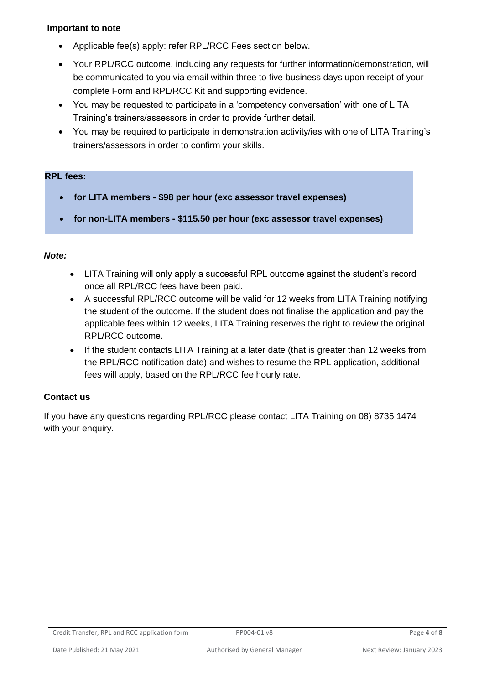#### **Important to note**

- Applicable fee(s) apply: refer RPL/RCC Fees section below.
- Your RPL/RCC outcome, including any requests for further information/demonstration, will be communicated to you via email within three to five business days upon receipt of your complete Form and RPL/RCC Kit and supporting evidence.
- You may be requested to participate in a 'competency conversation' with one of LITA Training's trainers/assessors in order to provide further detail.
- You may be required to participate in demonstration activity/ies with one of LITA Training's trainers/assessors in order to confirm your skills.

#### **RPL fees:**

- **for LITA members - \$98 per hour (exc assessor travel expenses)**
- **for non-LITA members - \$115.50 per hour (exc assessor travel expenses)**

#### *Note:*

- LITA Training will only apply a successful RPL outcome against the student's record once all RPL/RCC fees have been paid.
- A successful RPL/RCC outcome will be valid for 12 weeks from LITA Training notifying the student of the outcome. If the student does not finalise the application and pay the applicable fees within 12 weeks, LITA Training reserves the right to review the original RPL/RCC outcome.
- If the student contacts LITA Training at a later date (that is greater than 12 weeks from the RPL/RCC notification date) and wishes to resume the RPL application, additional fees will apply, based on the RPL/RCC fee hourly rate.

#### **Contact us**

If you have any questions regarding RPL/RCC please contact LITA Training on 08) 8735 1474 with your enquiry.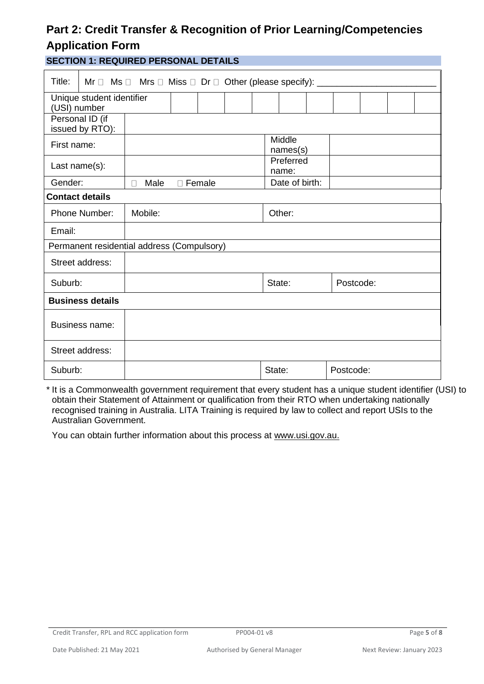## **Part 2: Credit Transfer & Recognition of Prior Learning/Competencies Application Form**

**SECTION 1: REQUIRED PERSONAL DETAILS**

| Title:<br>Mr $\Box$ Ms $\Box$ Mrs $\Box$ Miss $\Box$ Dr $\Box$ Other (please specify): __ |           |        |        |        |  |                |  |           |  |  |  |
|-------------------------------------------------------------------------------------------|-----------|--------|--------|--------|--|----------------|--|-----------|--|--|--|
| Unique student identifier                                                                 |           |        |        |        |  |                |  |           |  |  |  |
| (USI) number                                                                              |           |        |        |        |  |                |  |           |  |  |  |
| Personal ID (if                                                                           |           |        |        |        |  |                |  |           |  |  |  |
| issued by RTO):                                                                           |           |        |        |        |  |                |  |           |  |  |  |
| First name:                                                                               |           |        |        |        |  | Middle         |  |           |  |  |  |
|                                                                                           | names(s)  |        |        |        |  |                |  |           |  |  |  |
| Last name(s):                                                                             |           |        |        |        |  | Preferred      |  |           |  |  |  |
|                                                                                           |           |        |        |        |  | name:          |  |           |  |  |  |
| Gender:                                                                                   | Male<br>П | $\Box$ | Female |        |  | Date of birth: |  |           |  |  |  |
| <b>Contact details</b>                                                                    |           |        |        |        |  |                |  |           |  |  |  |
| Phone Number:                                                                             | Mobile:   |        |        | Other: |  |                |  |           |  |  |  |
| Email:                                                                                    |           |        |        |        |  |                |  |           |  |  |  |
| Permanent residential address (Compulsory)                                                |           |        |        |        |  |                |  |           |  |  |  |
| Street address:                                                                           |           |        |        |        |  |                |  |           |  |  |  |
| Suburb:                                                                                   |           |        |        |        |  | State:         |  | Postcode: |  |  |  |
| <b>Business details</b>                                                                   |           |        |        |        |  |                |  |           |  |  |  |
| <b>Business name:</b>                                                                     |           |        |        |        |  |                |  |           |  |  |  |
| Street address:                                                                           |           |        |        |        |  |                |  |           |  |  |  |
| Suburb:                                                                                   |           |        |        |        |  | State:         |  | Postcode: |  |  |  |

\* It is a Commonwealth government requirement that every student has a unique student identifier (USI) to obtain their Statement of Attainment or qualification from their RTO when undertaking nationally recognised training in Australia. LITA Training is required by law to collect and report USIs to the Australian Government.

You can obtain further information about this process at [www.usi.gov.au.](http://www.usi.gov.au/)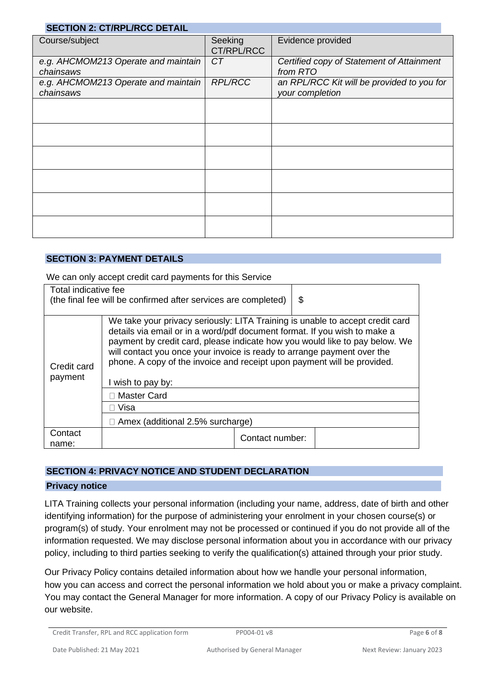| <b>SECTION 2: CT/RPL/RCC DETAIL</b>              |                       |                                                               |
|--------------------------------------------------|-----------------------|---------------------------------------------------------------|
| Course/subject                                   | Seeking<br>CT/RPL/RCC | Evidence provided                                             |
| e.g. AHCMOM213 Operate and maintain<br>chainsaws | CT                    | Certified copy of Statement of Attainment<br>from RTO         |
| e.g. AHCMOM213 Operate and maintain<br>chainsaws | <b>RPL/RCC</b>        | an RPL/RCC Kit will be provided to you for<br>your completion |
|                                                  |                       |                                                               |
|                                                  |                       |                                                               |
|                                                  |                       |                                                               |
|                                                  |                       |                                                               |
|                                                  |                       |                                                               |
|                                                  |                       |                                                               |

#### **SECTION 3: PAYMENT DETAILS**

We can only accept credit card payments for this Service

| Total indicative fee                                           |                                                                                                                                                                                                                                                                                                                                                                                                 |                 |    |  |  |  |  |
|----------------------------------------------------------------|-------------------------------------------------------------------------------------------------------------------------------------------------------------------------------------------------------------------------------------------------------------------------------------------------------------------------------------------------------------------------------------------------|-----------------|----|--|--|--|--|
| (the final fee will be confirmed after services are completed) |                                                                                                                                                                                                                                                                                                                                                                                                 |                 | \$ |  |  |  |  |
|                                                                |                                                                                                                                                                                                                                                                                                                                                                                                 |                 |    |  |  |  |  |
| Credit card<br>payment                                         | We take your privacy seriously: LITA Training is unable to accept credit card<br>details via email or in a word/pdf document format. If you wish to make a<br>payment by credit card, please indicate how you would like to pay below. We<br>will contact you once your invoice is ready to arrange payment over the<br>phone. A copy of the invoice and receipt upon payment will be provided. |                 |    |  |  |  |  |
|                                                                | I wish to pay by:                                                                                                                                                                                                                                                                                                                                                                               |                 |    |  |  |  |  |
|                                                                | <b>Master Card</b>                                                                                                                                                                                                                                                                                                                                                                              |                 |    |  |  |  |  |
|                                                                | Visa                                                                                                                                                                                                                                                                                                                                                                                            |                 |    |  |  |  |  |
|                                                                | $\Box$ Amex (additional 2.5% surcharge)                                                                                                                                                                                                                                                                                                                                                         |                 |    |  |  |  |  |
| Contact<br>name:                                               |                                                                                                                                                                                                                                                                                                                                                                                                 | Contact number: |    |  |  |  |  |

#### **SECTION 4: PRIVACY NOTICE AND STUDENT DECLARATION**

#### **Privacy notice**

LITA Training collects your personal information (including your name, address, date of birth and other identifying information) for the purpose of administering your enrolment in your chosen course(s) or program(s) of study. Your enrolment may not be processed or continued if you do not provide all of the information requested. We may disclose personal information about you in accordance with our privacy policy, including to third parties seeking to verify the qualification(s) attained through your prior study.

Our Privacy Policy contains detailed information about how we handle your personal information, how you can access and correct the personal information we hold about you or make a privacy complaint. You may contact the General Manager for more information. A copy of our Privacy Policy is available on our website.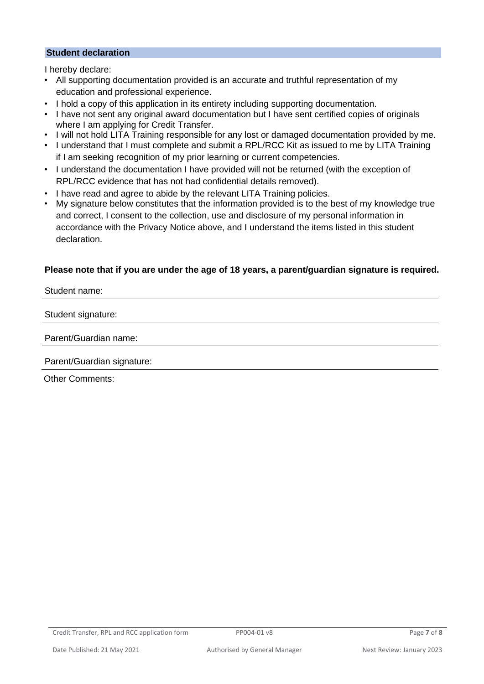#### **Student declaration**

I hereby declare:

- All supporting documentation provided is an accurate and truthful representation of my education and professional experience.
- I hold a copy of this application in its entirety including supporting documentation.
- I have not sent any original award documentation but I have sent certified copies of originals where I am applying for Credit Transfer.
- I will not hold LITA Training responsible for any lost or damaged documentation provided by me.
- I understand that I must complete and submit a RPL/RCC Kit as issued to me by LITA Training if I am seeking recognition of my prior learning or current competencies.
- I understand the documentation I have provided will not be returned (with the exception of RPL/RCC evidence that has not had confidential details removed).
- I have read and agree to abide by the relevant LITA Training policies.
- My signature below constitutes that the information provided is to the best of my knowledge true and correct, I consent to the collection, use and disclosure of my personal information in accordance with the Privacy Notice above, and I understand the items listed in this student declaration.

#### **Please note that if you are under the age of 18 years, a parent/guardian signature is required.**

Student name:

Student signature:

Parent/Guardian name:

Parent/Guardian signature:

Other Comments: